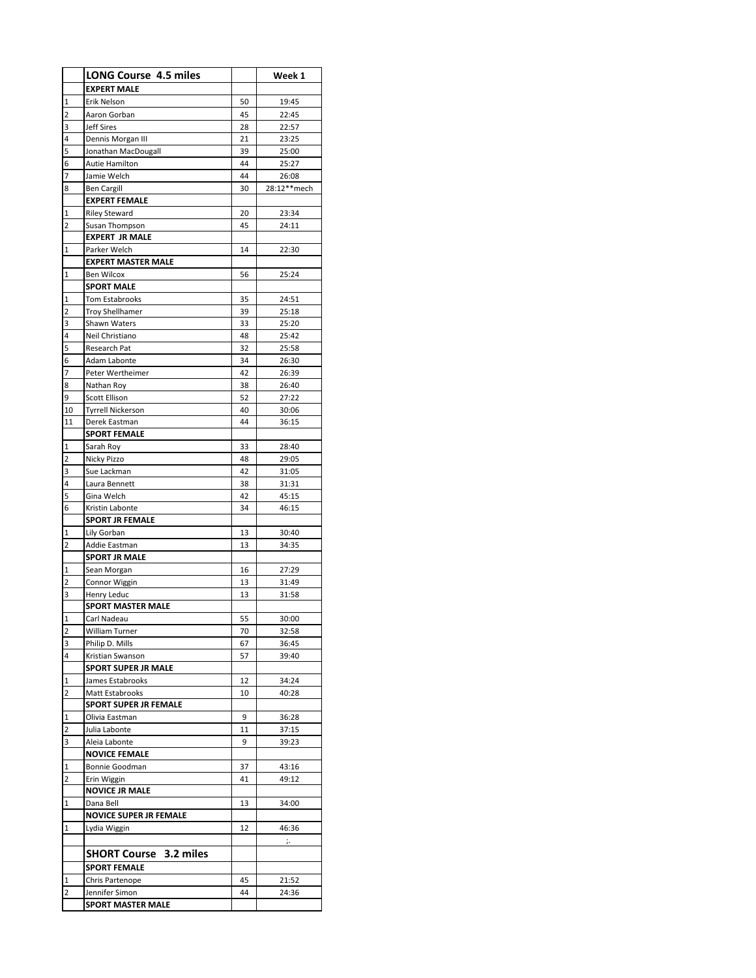|                | <b>LONG Course 4.5 miles</b>            |          | Week 1         |
|----------------|-----------------------------------------|----------|----------------|
|                | <b>EXPERT MALE</b>                      |          |                |
| 1              | Erik Nelson                             | 50       | 19:45          |
| 2              | Aaron Gorban                            | 45       | 22:45          |
| 3              | <b>Jeff Sires</b>                       | 28       | 22:57          |
| 4              | Dennis Morgan III                       | 21       | 23:25          |
| 5              | Jonathan MacDougall                     | 39       | 25:00          |
| 6<br>7         | Autie Hamilton<br>Jamie Welch           | 44<br>44 | 25:27<br>26:08 |
| 8              | <b>Ben Cargill</b>                      | 30       | 28:12**mech    |
|                | <b>EXPERT FEMALE</b>                    |          |                |
| 1              | <b>Riley Steward</b>                    | 20       | 23:34          |
| $\overline{2}$ | Susan Thompson                          | 45       | 24:11          |
|                | <b>EXPERT JR MALE</b>                   |          |                |
| 1              | Parker Welch                            | 14       | 22:30          |
|                | <b>EXPERT MASTER MALE</b>               |          |                |
| 1              | <b>Ben Wilcox</b>                       | 56       | 25:24          |
|                | <b>SPORT MALE</b>                       |          |                |
| 1              | Tom Estabrooks                          | 35       | 24:51          |
| 2              | <b>Troy Shellhamer</b><br>Shawn Waters  | 39       | 25:18          |
| 3<br>4         | Neil Christiano                         | 33<br>48 | 25:20<br>25:42 |
| 5              | Research Pat                            | 32       | 25:58          |
| 6              | <b>Adam Labonte</b>                     | 34       | 26:30          |
| 7              | Peter Wertheimer                        | 42       | 26:39          |
| 8              | Nathan Roy                              | 38       | 26:40          |
| 9              | Scott Ellison                           | 52       | 27:22          |
| 10             | <b>Tyrrell Nickerson</b>                | 40       | 30:06          |
| 11             | Derek Eastman                           | 44       | 36:15          |
|                | <b>SPORT FEMALE</b>                     |          |                |
| 1              | Sarah Roy                               | 33       | 28:40          |
| 2              | Nicky Pizzo                             | 48       | 29:05          |
| 3              | Sue Lackman                             | 42       | 31:05          |
| 4              | Laura Bennett                           | 38       | 31:31          |
| 5<br>6         | Gina Welch<br>Kristin Labonte           | 42<br>34 | 45:15<br>46:15 |
|                | <b>SPORT JR FEMALE</b>                  |          |                |
| 1              | Lily Gorban                             | 13       | 30:40          |
| 2              | Addie Eastman                           | 13       | 34:35          |
|                | <b>SPORT JR MALE</b>                    |          |                |
| 1              | Sean Morgan                             | 16       | 27:29          |
| 2              | Connor Wiggin                           | 13       | 31:49          |
| 3              | Henry Leduc                             | 13       | 31:58          |
|                | <b>SPORT MASTER MALE</b>                |          |                |
| $\frac{1}{1}$  | Carl Nadeau                             | 55       | 30:00          |
| 2              | William Turner                          | 70       | 32:58          |
| 3              | Philip D. Mills                         | 67       | 36:45          |
| 4              | Kristian Swanson<br>SPORT SUPER JR MALE | 57       | 39:40          |
| 1              | James Estabrooks                        | 12       | 34:24          |
| 2              | Matt Estabrooks                         | 10       | 40:28          |
|                | <b>SPORT SUPER JR FEMALE</b>            |          |                |
| 1              | Olivia Eastman                          | 9        | 36:28          |
| 2              | Julia Labonte                           | 11       | 37:15          |
| 3              | Aleia Labonte                           | 9        | 39:23          |
|                | <b>NOVICE FEMALE</b>                    |          |                |
| 1              | Bonnie Goodman                          | 37       | 43:16          |
| 2              | Erin Wiggin                             | 41       | 49:12          |
|                | <b>NOVICE JR MALE</b>                   |          |                |
| 1              | Dana Bell                               | 13       | 34:00          |
|                | <b>NOVICE SUPER JR FEMALE</b>           |          |                |
| 1              | Lydia Wiggin                            | 12       | 46:36          |
|                |                                         |          | j.,            |
|                | <b>SHORT Course 3.2 miles</b>           |          |                |
|                | <b>SPORT FEMALE</b>                     |          |                |
| 1<br>2         | Chris Partenope<br>Jennifer Simon       | 45<br>44 | 21:52<br>24:36 |
|                | SPORT MASTER MALE                       |          |                |